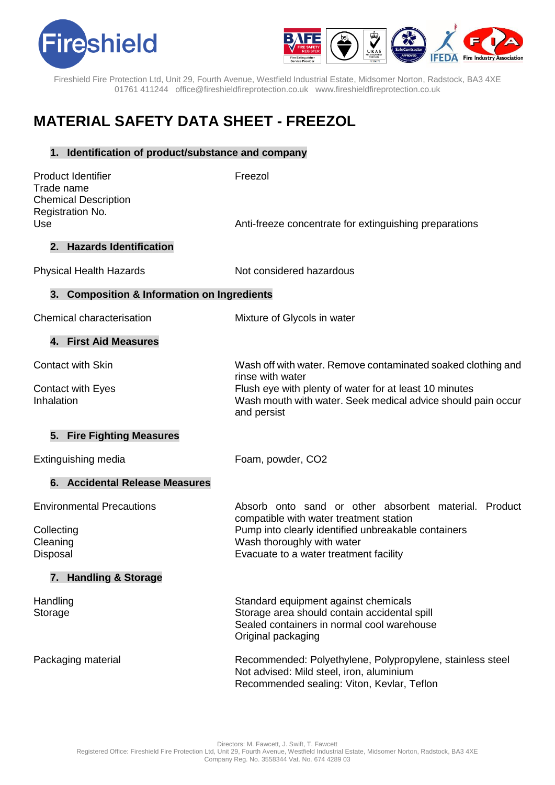



Fireshield Fire Protection Ltd, Unit 29, Fourth Avenue, Westfield Industrial Estate, Midsomer Norton, Radstock, BA3 4XE 01761 411244 office@fireshieldfireprotection.co.uk [www.fireshieldfireprotection.co.uk](http://www.fireshieldfireprotection.co.uk/)

# **MATERIAL SAFETY DATA SHEET - FREEZOL**

# **1. Identification of product/substance and company**

| <b>Product Identifier</b><br>Trade name<br><b>Chemical Description</b><br>Registration No. | Freezol                                                                                                                                                                                                                         |
|--------------------------------------------------------------------------------------------|---------------------------------------------------------------------------------------------------------------------------------------------------------------------------------------------------------------------------------|
| Use                                                                                        | Anti-freeze concentrate for extinguishing preparations                                                                                                                                                                          |
| 2. Hazards Identification                                                                  |                                                                                                                                                                                                                                 |
| <b>Physical Health Hazards</b>                                                             | Not considered hazardous                                                                                                                                                                                                        |
| 3. Composition & Information on Ingredients                                                |                                                                                                                                                                                                                                 |
| Chemical characterisation                                                                  | Mixture of Glycols in water                                                                                                                                                                                                     |
| 4. First Aid Measures                                                                      |                                                                                                                                                                                                                                 |
| <b>Contact with Skin</b>                                                                   | Wash off with water. Remove contaminated soaked clothing and<br>rinse with water                                                                                                                                                |
| <b>Contact with Eyes</b><br>Inhalation                                                     | Flush eye with plenty of water for at least 10 minutes<br>Wash mouth with water. Seek medical advice should pain occur<br>and persist                                                                                           |
| 5. Fire Fighting Measures                                                                  |                                                                                                                                                                                                                                 |
| Extinguishing media                                                                        | Foam, powder, CO2                                                                                                                                                                                                               |
| 6. Accidental Release Measures                                                             |                                                                                                                                                                                                                                 |
| <b>Environmental Precautions</b>                                                           | Absorb onto sand or other absorbent material. Product<br>compatible with water treatment station<br>Pump into clearly identified unbreakable containers<br>Wash thoroughly with water<br>Evacuate to a water treatment facility |
| Collecting<br>Cleaning<br>Disposal                                                         |                                                                                                                                                                                                                                 |
| 7. Handling & Storage                                                                      |                                                                                                                                                                                                                                 |
| Handling<br>Storage                                                                        | Standard equipment against chemicals<br>Storage area should contain accidental spill<br>Sealed containers in normal cool warehouse<br>Original packaging                                                                        |
| Packaging material                                                                         | Recommended: Polyethylene, Polypropylene, stainless steel<br>Not advised: Mild steel, iron, aluminium<br>Recommended sealing: Viton, Kevlar, Teflon                                                                             |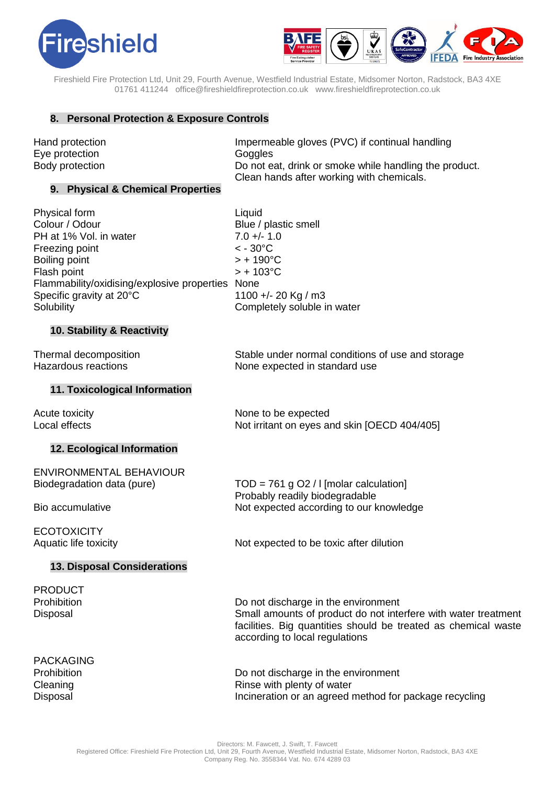



Fireshield Fire Protection Ltd, Unit 29, Fourth Avenue, Westfield Industrial Estate, Midsomer Norton, Radstock, BA3 4XE 01761 411244 office@fireshieldfireprotection.co.uk [www.fireshieldfireprotection.co.uk](http://www.fireshieldfireprotection.co.uk/)

# **8. Personal Protection & Exposure Controls**

Eye protection Goggles

Hand protection **Impermeable gloves (PVC)** if continual handling Body protection **Do not eat, drink or smoke while handling the product.** Clean hands after working with chemicals.

### **9. Physical & Chemical Properties**

| Physical form                                    | Liquid                      |
|--------------------------------------------------|-----------------------------|
| Colour / Odour                                   | Blue / plastic smell        |
| PH at 1% Vol. in water                           | $7.0 +/- 1.0$               |
| Freezing point                                   | $< -30^{\circ}$ C           |
| Boiling point                                    | $> +190^{\circ}C$           |
| Flash point                                      | $> +103$ °C                 |
| Flammability/oxidising/explosive properties None |                             |
| Specific gravity at 20°C                         | 1100 +/- 20 Kg / m3         |
| Solubility                                       | Completely soluble in water |
|                                                  |                             |

# **10. Stability & Reactivity**

Thermal decomposition Stable under normal conditions of use and storage Hazardous reactions The Real Phane expected in standard use

Not irritant on eyes and skin [OECD 404/405]

#### **11. Toxicological Information**

Acute toxicity<br>
Local effects<br>
Local effects<br>  $\begin{array}{ccc}\n\hline\n\end{array}$ 

# **12. Ecological Information**

| <b>ENVIRONMENTAL BEHAVIOUR</b><br>Biodegradation data (pure) | $TOD = 761$ g O2 / I [molar calculation]<br>Probably readily biodegradable<br>Not expected according to our knowledge           |
|--------------------------------------------------------------|---------------------------------------------------------------------------------------------------------------------------------|
| Bio accumulative                                             |                                                                                                                                 |
| <b>ECOTOXICITY</b><br>Aquatic life toxicity                  | Not expected to be toxic after dilution                                                                                         |
| <b>13. Disposal Considerations</b>                           |                                                                                                                                 |
| <b>PRODUCT</b>                                               |                                                                                                                                 |
| Prohibition                                                  | Do not discharge in the environment                                                                                             |
| Disposal                                                     | Small amounts of product do not interfere with water treatment<br>feelities. Die susstities abeuld he treated es shemiesl weste |

PACKAGING

facilities. Big quantities should be treated as chemical waste according to local regulations

Prohibition **Do not discharge in the environment** Cleaning Cleaning Cleaning Cleaning Cleaning  $\sum_{n=1}^{\infty}$  Rinse with plenty of water Disposal Incineration or an agreed method for package recycling